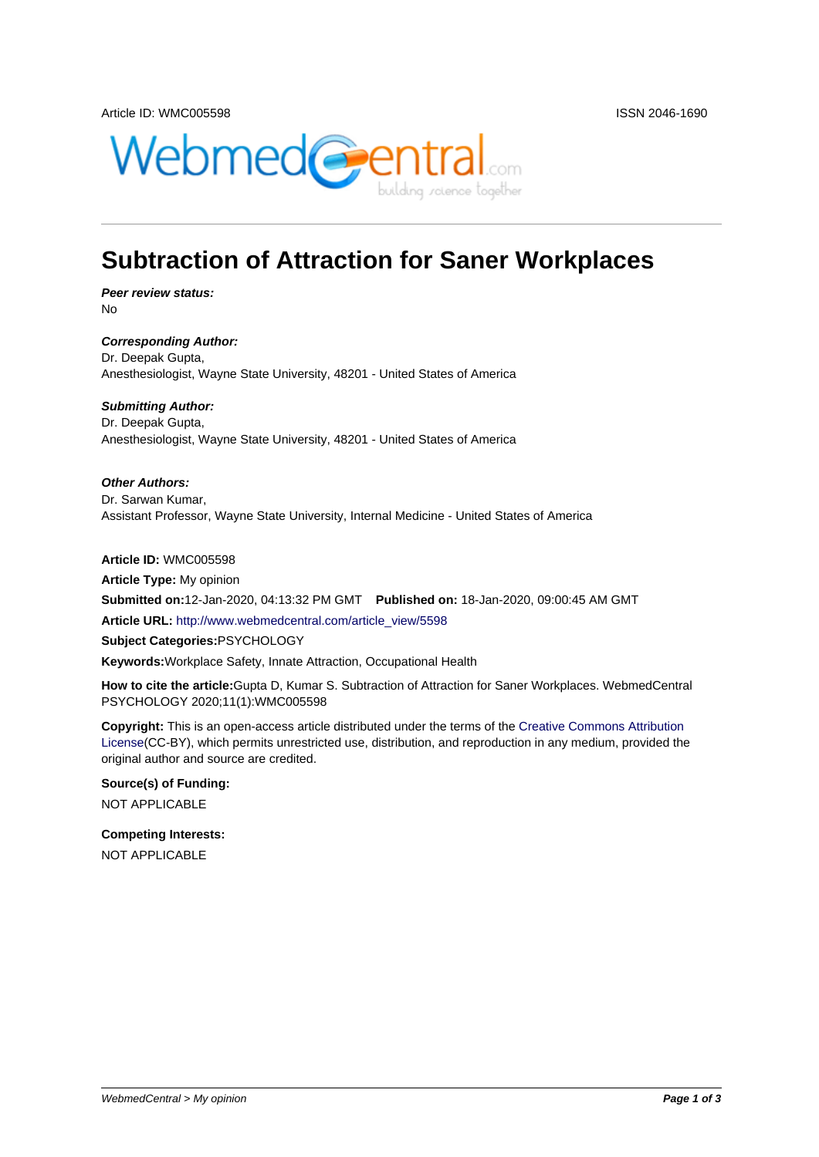

# **Subtraction of Attraction for Saner Workplaces**

**Peer review status:** No

**Corresponding Author:** Dr. Deepak Gupta, Anesthesiologist, Wayne State University, 48201 - United States of America

**Submitting Author:** Dr. Deepak Gupta, Anesthesiologist, Wayne State University, 48201 - United States of America

**Other Authors:** Dr. Sarwan Kumar, Assistant Professor, Wayne State University, Internal Medicine - United States of America

**Article ID:** WMC005598 **Article Type:** My opinion **Submitted on:**12-Jan-2020, 04:13:32 PM GMT **Published on:** 18-Jan-2020, 09:00:45 AM GMT **Article URL:** http://www.webmedcentral.com/article\_view/5598 **Subject Categories:**PSYCHOLOGY **Keywords:**Workplace Safety, Innate Attraction, Occupational Health

**How to cite the article:**[Gupta D, Kumar S. Subtraction of Attra](http://www.webmedcentral.com/article_view/5598)ction for Saner Workplaces. WebmedCentral PSYCHOLOGY 2020;11(1):WMC005598

**Copyright:** This is an open-access article distributed under the terms of the Creative Commons Attribution License(CC-BY), which permits unrestricted use, distribution, and reproduction in any medium, provided the original author and source are credited.

**Source(s) of Funding:** [NOT AP](http://creativecommons.org/licenses/by/3.0/)PLICABLE

**Competing Interests:** NOT APPLICABLE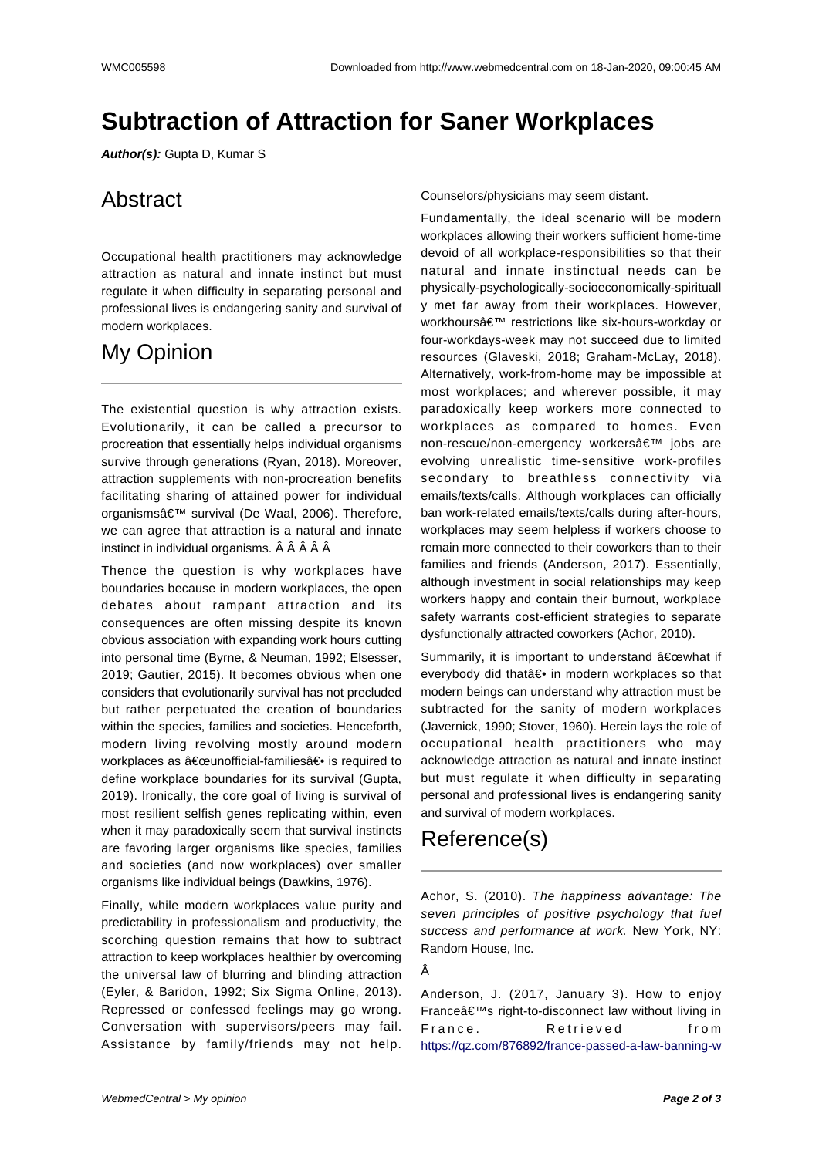# **Subtraction of Attraction for Saner Workplaces**

**Author(s):** Gupta D, Kumar S

# Abstract

Occupational health practitioners may acknowledge attraction as natural and innate instinct but must regulate it when difficulty in separating personal and professional lives is endangering sanity and survival of modern workplaces.

### My Opinion

The existential question is why attraction exists. Evolutionarily, it can be called a precursor to procreation that essentially helps individual organisms survive through generations (Ryan, 2018). Moreover, attraction supplements with non-procreation benefits facilitating sharing of attained power for individual organisms' survival (De Waal, 2006). Therefore, we can agree that attraction is a natural and innate instinct in individual organisms. Â Â Â Â Â

Thence the question is why workplaces have boundaries because in modern workplaces, the open debates about rampant attraction and its consequences are often missing despite its known obvious association with expanding work hours cutting into personal time (Byrne, & Neuman, 1992; Elsesser, 2019; Gautier, 2015). It becomes obvious when one considers that evolutionarily survival has not precluded but rather perpetuated the creation of boundaries within the species, families and societies. Henceforth, modern living revolving mostly around modern workplaces as "unofficial-families― is required to define workplace boundaries for its survival (Gupta, 2019). Ironically, the core goal of living is survival of most resilient selfish genes replicating within, even when it may paradoxically seem that survival instincts are favoring larger organisms like species, families and societies (and now workplaces) over smaller organisms like individual beings (Dawkins, 1976).

Finally, while modern workplaces value purity and predictability in professionalism and productivity, the scorching question remains that how to subtract attraction to keep workplaces healthier by overcoming the universal law of blurring and blinding attraction (Eyler, & Baridon, 1992; Six Sigma Online, 2013). Repressed or confessed feelings may go wrong. Conversation with supervisors/peers may fail. Assistance by family/friends may not help.

Counselors/physicians may seem distant.

Fundamentally, the ideal scenario will be modern workplaces allowing their workers sufficient home-time devoid of all workplace-responsibilities so that their natural and innate instinctual needs can be physically-psychologically-socioeconomically-spirituall y met far away from their workplaces. However, workhours' restrictions like six-hours-workday or four-workdays-week may not succeed due to limited resources (Glaveski, 2018; Graham-McLay, 2018). Alternatively, work-from-home may be impossible at most workplaces; and wherever possible, it may paradoxically keep workers more connected to workplaces as compared to homes. Even non-rescue/non-emergency workers' jobs are evolving unrealistic time-sensitive work-profiles secondary to breathless connectivity via emails/texts/calls. Although workplaces can officially ban work-related emails/texts/calls during after-hours, workplaces may seem helpless if workers choose to remain more connected to their coworkers than to their families and friends (Anderson, 2017). Essentially, although investment in social relationships may keep workers happy and contain their burnout, workplace safety warrants cost-efficient strategies to separate dysfunctionally attracted coworkers (Achor, 2010).

Summarily, it is important to understand  $\hat{a} \in \text{cewhat}$  if everybody did that― in modern workplaces so that modern beings can understand why attraction must be subtracted for the sanity of modern workplaces (Javernick, 1990; Stover, 1960). Herein lays the role of occupational health practitioners who may acknowledge attraction as natural and innate instinct but must regulate it when difficulty in separating personal and professional lives is endangering sanity and survival of modern workplaces.

# Reference(s)

Achor, S. (2010). The happiness advantage: The seven principles of positive psychology that fuel success and performance at work. New York, NY: Random House, Inc.

Â

Anderson, J. (2017, January 3). How to enjoy France's right-to-disconnect law without living in France. Retrieved from https://qz.com/876892/france-passed-a-law-banning-w